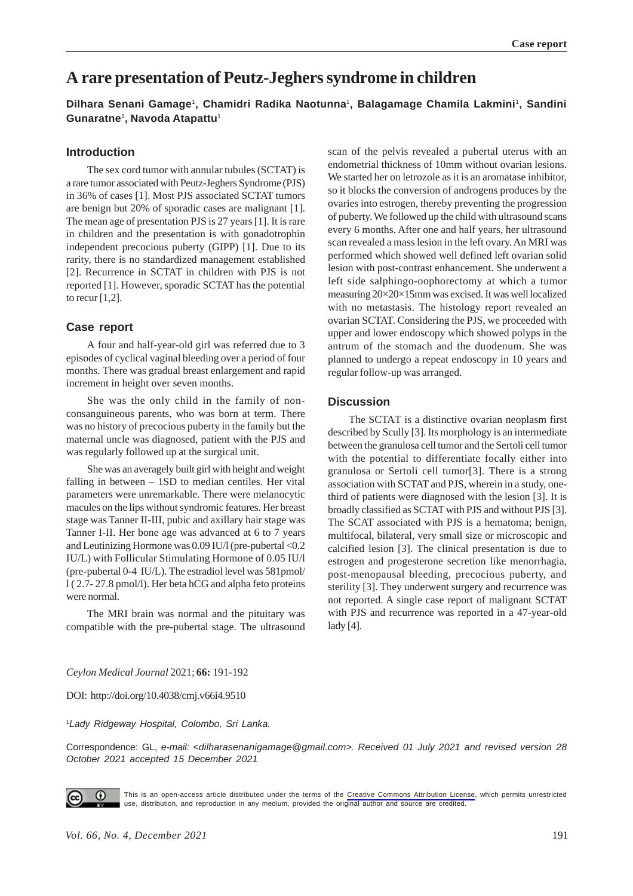# **A rare presentation of Peutz-Jeghers syndrome in children**

**Dilhara Senani Gamage**1**, Chamidri Radika Naotunna**1**, Balagamage Chamila Lakmini**1**, Sandini Gunaratne**1**, Navoda Atapattu**<sup>1</sup>

#### **Introduction**

The sex cord tumor with annular tubules (SCTAT) is a rare tumor associated with Peutz-Jeghers Syndrome (PJS) in 36% of cases [1]. Most PJS associated SCTAT tumors are benign but 20% of sporadic cases are malignant [1]. The mean age of presentation PJS is 27 years [1]. It is rare in children and the presentation is with gonadotrophin independent precocious puberty (GIPP) [1]. Due to its rarity, there is no standardized management established [2]. Recurrence in SCTAT in children with PJS is not reported [1]. However, sporadic SCTAT has the potential to recur  $[1,2]$ .

#### **Case report**

A four and half-year-old girl was referred due to 3 episodes of cyclical vaginal bleeding over a period of four months. There was gradual breast enlargement and rapid increment in height over seven months.

She was the only child in the family of nonconsanguineous parents, who was born at term. There was no history of precocious puberty in the family but the maternal uncle was diagnosed, patient with the PJS and was regularly followed up at the surgical unit.

She was an averagely built girl with height and weight falling in between – 1SD to median centiles. Her vital parameters were unremarkable. There were melanocytic macules on the lips without syndromic features. Her breast stage was Tanner II-III, pubic and axillary hair stage was Tanner I-II. Her bone age was advanced at 6 to 7 years and Leutinizing Hormone was 0.09 IU/l (pre-pubertal <0.2 IU/L) with Follicular Stimulating Hormone of 0.05 IU/l (pre-pubertal 0-4 IU/L). The estradiol level was 581pmol/ l ( 2.7- 27.8 pmol/l). Her beta hCG and alpha feto proteins were normal.

The MRI brain was normal and the pituitary was compatible with the pre-pubertal stage. The ultrasound

scan of the pelvis revealed a pubertal uterus with an endometrial thickness of 10mm without ovarian lesions. We started her on letrozole as it is an aromatase inhibitor, so it blocks the conversion of androgens produces by the ovaries into estrogen, thereby preventing the progression of puberty. We followed up the child with ultrasound scans every 6 months. After one and half years, her ultrasound scan revealed a mass lesion in the left ovary. An MRI was performed which showed well defined left ovarian solid lesion with post-contrast enhancement. She underwent a left side salphingo-oophorectomy at which a tumor measuring 20×20×15mm was excised. It was well localized with no metastasis. The histology report revealed an ovarian SCTAT. Considering the PJS, we proceeded with upper and lower endoscopy which showed polyps in the antrum of the stomach and the duodenum. She was planned to undergo a repeat endoscopy in 10 years and regular follow-up was arranged.

### **Discussion**

The SCTAT is a distinctive ovarian neoplasm first described by Scully [3]. Its morphology is an intermediate between the granulosa cell tumor and the Sertoli cell tumor with the potential to differentiate focally either into granulosa or Sertoli cell tumor[3]. There is a strong association with SCTAT and PJS, wherein in a study, onethird of patients were diagnosed with the lesion [3]. It is broadly classified as SCTAT with PJS and without PJS [3]. The SCAT associated with PJS is a hematoma; benign, multifocal, bilateral, very small size or microscopic and calcified lesion [3]. The clinical presentation is due to estrogen and progesterone secretion like menorrhagia, post-menopausal bleeding, precocious puberty, and sterility [3]. They underwent surgery and recurrence was not reported. A single case report of malignant SCTAT with PJS and recurrence was reported in a 47-year-old lady [4].

*Ceylon Medical Journal* 2021; **66:** 191-192

DOI: http://doi.org/10.4038/cmj.v66i4.9510

<sup>1</sup>*Lady Ridgeway Hospital, Colombo, Sri Lanka.*

Correspondence: GL, *e-mail: <dilharasenanigamage@gmail.com>. Received 01 July 2021 and revised version 28 October 2021 accepted 15 December 2021*



This is an open-access article distributed under the terms of the [Creative Commons Attribution License](https://creativecommons.org/licenses/by/4.0/legalcode), which permits unrestricted use, distribution, and reproduction in any medium, provided the original author and source are credited.